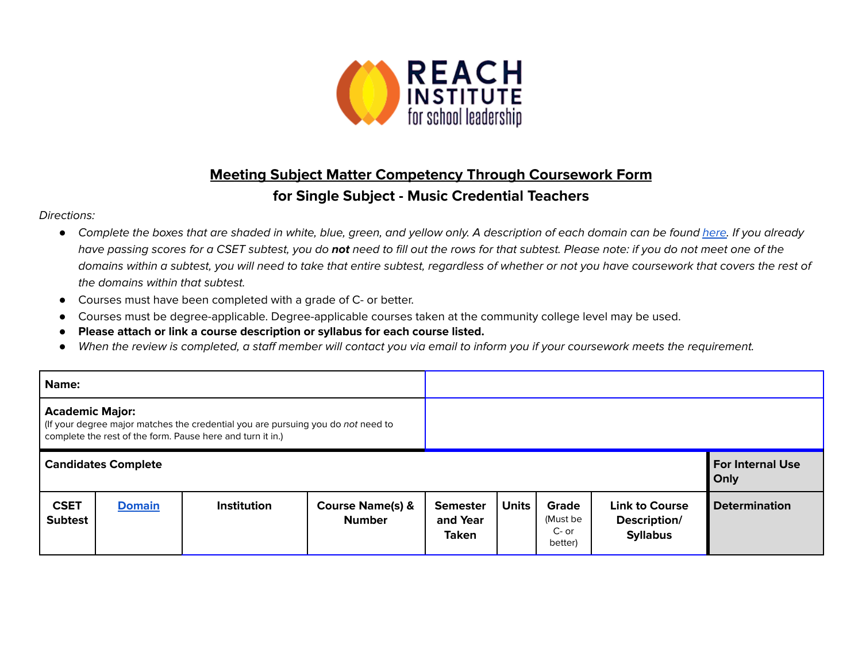

## **Meeting Subject Matter Competency Through Coursework Form**

## **for Single Subject - Music Credential Teachers**

## Directions:

- Complete the boxes that are shaded in white, blue, green, and yellow only. A description of each domain can be found [here.](https://www.ctc.ca.gov/docs/default-source/educator-prep/files/domains-of-subject-matter-requirements.pdf?sfvrsn=dcd525b1_2) If you already have passing scores for a CSET subtest, you do **not** need to fill out the rows for that subtest. Please note: if you do not meet one of the domains within a subtest, you will need to take that entire subtest, regardless of whether or not you have coursework that covers the rest of the domains within that subtest.
- *●* Courses must have been completed with a grade of C- or better.
- Courses must be degree-applicable. Degree-applicable courses taken at the community college level may be used.
- *●* **Please attach or link a course description or syllabus for each course listed.**
- *●* When the review is completed, a staff member will contact you via email to inform you if your coursework meets the requirement.

| Name:                                                                                                                                                                    |                            |                    |                                              |                                             |              |                                         |                                                          |                                 |
|--------------------------------------------------------------------------------------------------------------------------------------------------------------------------|----------------------------|--------------------|----------------------------------------------|---------------------------------------------|--------------|-----------------------------------------|----------------------------------------------------------|---------------------------------|
| <b>Academic Major:</b><br>(If your degree major matches the credential you are pursuing you do not need to<br>complete the rest of the form. Pause here and turn it in.) |                            |                    |                                              |                                             |              |                                         |                                                          |                                 |
|                                                                                                                                                                          | <b>Candidates Complete</b> |                    |                                              |                                             |              |                                         |                                                          | <b>For Internal Use</b><br>Only |
| <b>CSET</b><br><b>Subtest</b>                                                                                                                                            | <b>Domain</b>              | <b>Institution</b> | <b>Course Name(s) &amp;</b><br><b>Number</b> | <b>Semester</b><br>and Year<br><b>Taken</b> | <b>Units</b> | Grade<br>(Must be<br>$C-$ or<br>better) | <b>Link to Course</b><br>Description/<br><b>Syllabus</b> | <b>Determination</b>            |